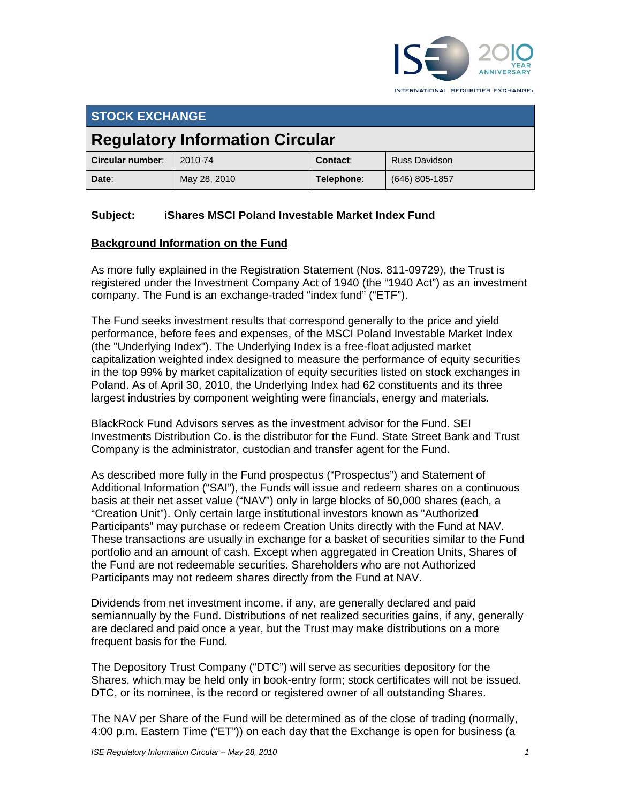

INTERNATIONAL SECURITIES EXCHANGE.

| <b>STOCK EXCHANGE</b>                  |              |            |                      |
|----------------------------------------|--------------|------------|----------------------|
| <b>Regulatory Information Circular</b> |              |            |                      |
| Circular number:                       | 2010-74      | Contact:   | <b>Russ Davidson</b> |
| Date:                                  | May 28, 2010 | Telephone: | (646) 805-1857       |

# **Subject: iShares MSCI Poland Investable Market Index Fund**

# **Background Information on the Fund**

As more fully explained in the Registration Statement (Nos. 811-09729), the Trust is registered under the Investment Company Act of 1940 (the "1940 Act") as an investment company. The Fund is an exchange-traded "index fund" ("ETF").

The Fund seeks investment results that correspond generally to the price and yield performance, before fees and expenses, of the MSCI Poland Investable Market Index (the "Underlying Index"). The Underlying Index is a free-float adjusted market capitalization weighted index designed to measure the performance of equity securities in the top 99% by market capitalization of equity securities listed on stock exchanges in Poland. As of April 30, 2010, the Underlying Index had 62 constituents and its three largest industries by component weighting were financials, energy and materials.

BlackRock Fund Advisors serves as the investment advisor for the Fund. SEI Investments Distribution Co. is the distributor for the Fund. State Street Bank and Trust Company is the administrator, custodian and transfer agent for the Fund.

As described more fully in the Fund prospectus ("Prospectus") and Statement of Additional Information ("SAI"), the Funds will issue and redeem shares on a continuous basis at their net asset value ("NAV") only in large blocks of 50,000 shares (each, a "Creation Unit"). Only certain large institutional investors known as "Authorized Participants" may purchase or redeem Creation Units directly with the Fund at NAV. These transactions are usually in exchange for a basket of securities similar to the Fund portfolio and an amount of cash. Except when aggregated in Creation Units, Shares of the Fund are not redeemable securities. Shareholders who are not Authorized Participants may not redeem shares directly from the Fund at NAV.

Dividends from net investment income, if any, are generally declared and paid semiannually by the Fund. Distributions of net realized securities gains, if any, generally are declared and paid once a year, but the Trust may make distributions on a more frequent basis for the Fund.

The Depository Trust Company ("DTC") will serve as securities depository for the Shares, which may be held only in book-entry form; stock certificates will not be issued. DTC, or its nominee, is the record or registered owner of all outstanding Shares.

The NAV per Share of the Fund will be determined as of the close of trading (normally, 4:00 p.m. Eastern Time ("ET")) on each day that the Exchange is open for business (a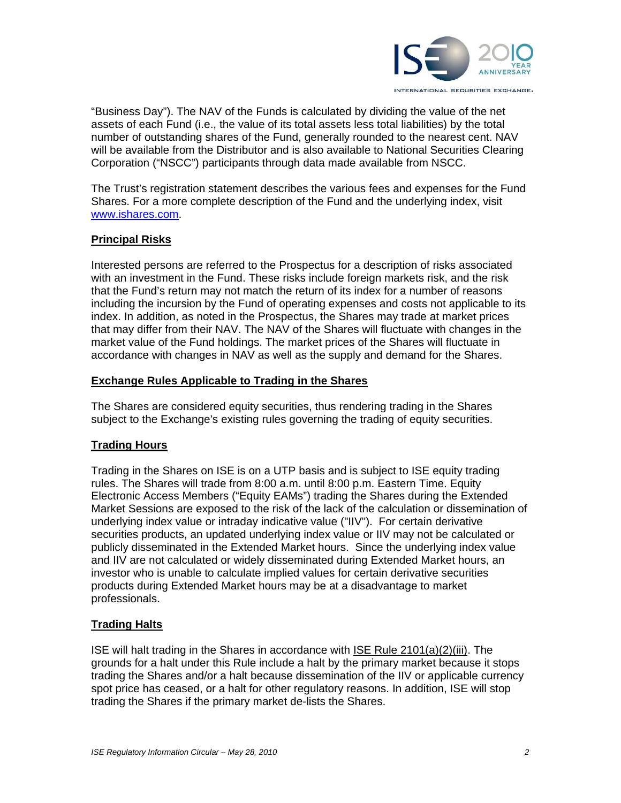

"Business Day"). The NAV of the Funds is calculated by dividing the value of the net assets of each Fund (i.e., the value of its total assets less total liabilities) by the total number of outstanding shares of the Fund, generally rounded to the nearest cent. NAV will be available from the Distributor and is also available to National Securities Clearing Corporation ("NSCC") participants through data made available from NSCC.

The Trust's registration statement describes the various fees and expenses for the Fund Shares. For a more complete description of the Fund and the underlying index, visit www.ishares.com.

# **Principal Risks**

Interested persons are referred to the Prospectus for a description of risks associated with an investment in the Fund. These risks include foreign markets risk, and the risk that the Fund's return may not match the return of its index for a number of reasons including the incursion by the Fund of operating expenses and costs not applicable to its index. In addition, as noted in the Prospectus, the Shares may trade at market prices that may differ from their NAV. The NAV of the Shares will fluctuate with changes in the market value of the Fund holdings. The market prices of the Shares will fluctuate in accordance with changes in NAV as well as the supply and demand for the Shares.

# **Exchange Rules Applicable to Trading in the Shares**

The Shares are considered equity securities, thus rendering trading in the Shares subject to the Exchange's existing rules governing the trading of equity securities.

# **Trading Hours**

Trading in the Shares on ISE is on a UTP basis and is subject to ISE equity trading rules. The Shares will trade from 8:00 a.m. until 8:00 p.m. Eastern Time. Equity Electronic Access Members ("Equity EAMs") trading the Shares during the Extended Market Sessions are exposed to the risk of the lack of the calculation or dissemination of underlying index value or intraday indicative value ("IIV"). For certain derivative securities products, an updated underlying index value or IIV may not be calculated or publicly disseminated in the Extended Market hours. Since the underlying index value and IIV are not calculated or widely disseminated during Extended Market hours, an investor who is unable to calculate implied values for certain derivative securities products during Extended Market hours may be at a disadvantage to market professionals.

# **Trading Halts**

ISE will halt trading in the Shares in accordance with ISE Rule 2101(a)(2)(iii). The grounds for a halt under this Rule include a halt by the primary market because it stops trading the Shares and/or a halt because dissemination of the IIV or applicable currency spot price has ceased, or a halt for other regulatory reasons. In addition, ISE will stop trading the Shares if the primary market de-lists the Shares.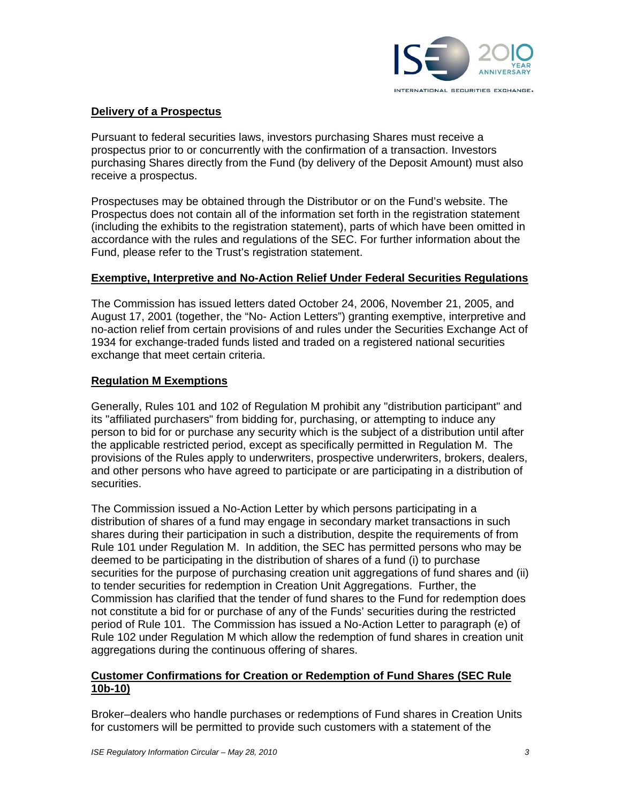

# **Delivery of a Prospectus**

Pursuant to federal securities laws, investors purchasing Shares must receive a prospectus prior to or concurrently with the confirmation of a transaction. Investors purchasing Shares directly from the Fund (by delivery of the Deposit Amount) must also receive a prospectus.

Prospectuses may be obtained through the Distributor or on the Fund's website. The Prospectus does not contain all of the information set forth in the registration statement (including the exhibits to the registration statement), parts of which have been omitted in accordance with the rules and regulations of the SEC. For further information about the Fund, please refer to the Trust's registration statement.

### **Exemptive, Interpretive and No-Action Relief Under Federal Securities Regulations**

The Commission has issued letters dated October 24, 2006, November 21, 2005, and August 17, 2001 (together, the "No- Action Letters") granting exemptive, interpretive and no-action relief from certain provisions of and rules under the Securities Exchange Act of 1934 for exchange-traded funds listed and traded on a registered national securities exchange that meet certain criteria.

### **Regulation M Exemptions**

Generally, Rules 101 and 102 of Regulation M prohibit any "distribution participant" and its "affiliated purchasers" from bidding for, purchasing, or attempting to induce any person to bid for or purchase any security which is the subject of a distribution until after the applicable restricted period, except as specifically permitted in Regulation M. The provisions of the Rules apply to underwriters, prospective underwriters, brokers, dealers, and other persons who have agreed to participate or are participating in a distribution of securities.

The Commission issued a No-Action Letter by which persons participating in a distribution of shares of a fund may engage in secondary market transactions in such shares during their participation in such a distribution, despite the requirements of from Rule 101 under Regulation M. In addition, the SEC has permitted persons who may be deemed to be participating in the distribution of shares of a fund (i) to purchase securities for the purpose of purchasing creation unit aggregations of fund shares and (ii) to tender securities for redemption in Creation Unit Aggregations. Further, the Commission has clarified that the tender of fund shares to the Fund for redemption does not constitute a bid for or purchase of any of the Funds' securities during the restricted period of Rule 101. The Commission has issued a No-Action Letter to paragraph (e) of Rule 102 under Regulation M which allow the redemption of fund shares in creation unit aggregations during the continuous offering of shares.

### **Customer Confirmations for Creation or Redemption of Fund Shares (SEC Rule 10b-10)**

Broker–dealers who handle purchases or redemptions of Fund shares in Creation Units for customers will be permitted to provide such customers with a statement of the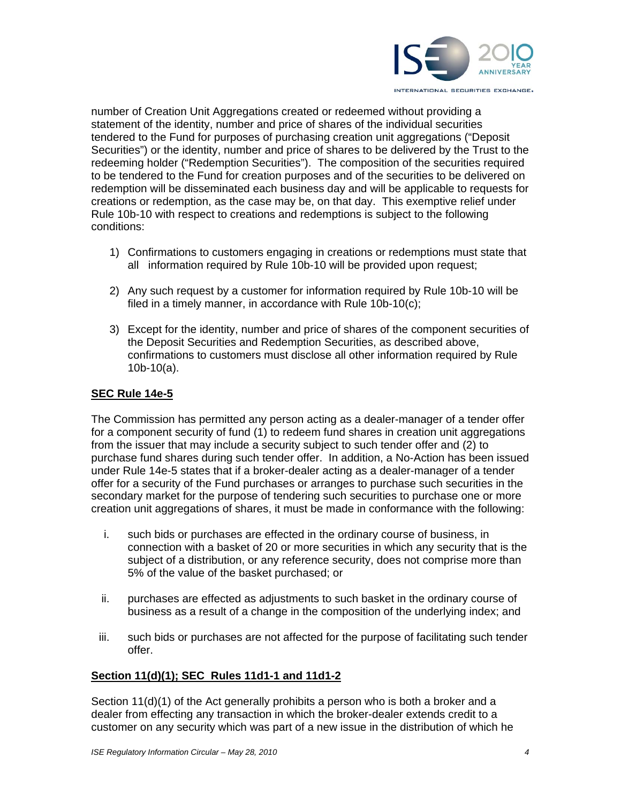

number of Creation Unit Aggregations created or redeemed without providing a statement of the identity, number and price of shares of the individual securities tendered to the Fund for purposes of purchasing creation unit aggregations ("Deposit Securities") or the identity, number and price of shares to be delivered by the Trust to the redeeming holder ("Redemption Securities"). The composition of the securities required to be tendered to the Fund for creation purposes and of the securities to be delivered on redemption will be disseminated each business day and will be applicable to requests for creations or redemption, as the case may be, on that day. This exemptive relief under Rule 10b-10 with respect to creations and redemptions is subject to the following conditions:

- 1) Confirmations to customers engaging in creations or redemptions must state that all information required by Rule 10b-10 will be provided upon request;
- 2) Any such request by a customer for information required by Rule 10b-10 will be filed in a timely manner, in accordance with Rule 10b-10(c);
- 3) Except for the identity, number and price of shares of the component securities of the Deposit Securities and Redemption Securities, as described above, confirmations to customers must disclose all other information required by Rule 10b-10(a).

### **SEC Rule 14e-5**

The Commission has permitted any person acting as a dealer-manager of a tender offer for a component security of fund (1) to redeem fund shares in creation unit aggregations from the issuer that may include a security subject to such tender offer and (2) to purchase fund shares during such tender offer. In addition, a No-Action has been issued under Rule 14e-5 states that if a broker-dealer acting as a dealer-manager of a tender offer for a security of the Fund purchases or arranges to purchase such securities in the secondary market for the purpose of tendering such securities to purchase one or more creation unit aggregations of shares, it must be made in conformance with the following:

- i. such bids or purchases are effected in the ordinary course of business, in connection with a basket of 20 or more securities in which any security that is the subject of a distribution, or any reference security, does not comprise more than 5% of the value of the basket purchased; or
- ii. purchases are effected as adjustments to such basket in the ordinary course of business as a result of a change in the composition of the underlying index; and
- iii. such bids or purchases are not affected for the purpose of facilitating such tender offer.

# **Section 11(d)(1); SEC Rules 11d1-1 and 11d1-2**

Section 11(d)(1) of the Act generally prohibits a person who is both a broker and a dealer from effecting any transaction in which the broker-dealer extends credit to a customer on any security which was part of a new issue in the distribution of which he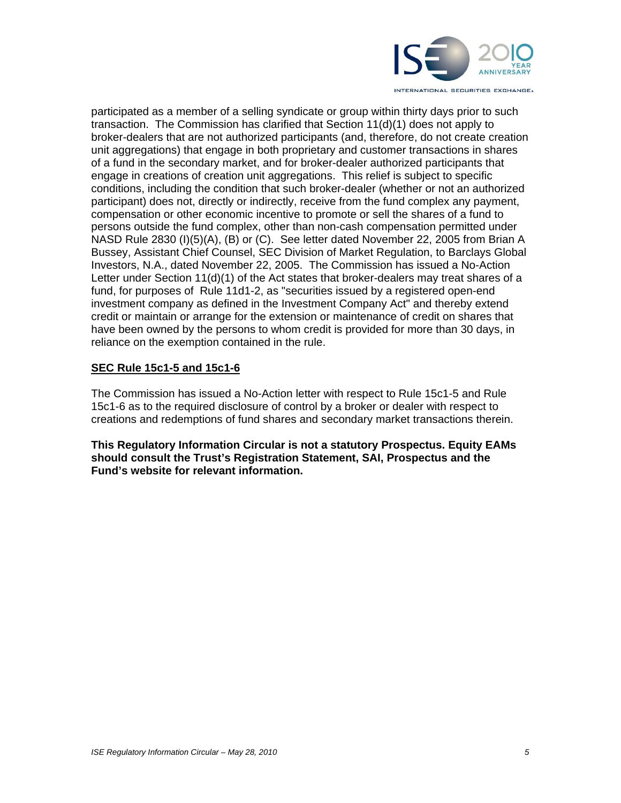

participated as a member of a selling syndicate or group within thirty days prior to such transaction. The Commission has clarified that Section 11(d)(1) does not apply to broker-dealers that are not authorized participants (and, therefore, do not create creation unit aggregations) that engage in both proprietary and customer transactions in shares of a fund in the secondary market, and for broker-dealer authorized participants that engage in creations of creation unit aggregations. This relief is subject to specific conditions, including the condition that such broker-dealer (whether or not an authorized participant) does not, directly or indirectly, receive from the fund complex any payment, compensation or other economic incentive to promote or sell the shares of a fund to persons outside the fund complex, other than non-cash compensation permitted under NASD Rule 2830 (I)(5)(A), (B) or (C). See letter dated November 22, 2005 from Brian A Bussey, Assistant Chief Counsel, SEC Division of Market Regulation, to Barclays Global Investors, N.A., dated November 22, 2005. The Commission has issued a No-Action Letter under Section 11(d)(1) of the Act states that broker-dealers may treat shares of a fund, for purposes of Rule 11d1-2, as "securities issued by a registered open-end investment company as defined in the Investment Company Act" and thereby extend credit or maintain or arrange for the extension or maintenance of credit on shares that have been owned by the persons to whom credit is provided for more than 30 days, in reliance on the exemption contained in the rule.

# **SEC Rule 15c1-5 and 15c1-6**

The Commission has issued a No-Action letter with respect to Rule 15c1-5 and Rule 15c1-6 as to the required disclosure of control by a broker or dealer with respect to creations and redemptions of fund shares and secondary market transactions therein.

**This Regulatory Information Circular is not a statutory Prospectus. Equity EAMs should consult the Trust's Registration Statement, SAI, Prospectus and the Fund's website for relevant information.**